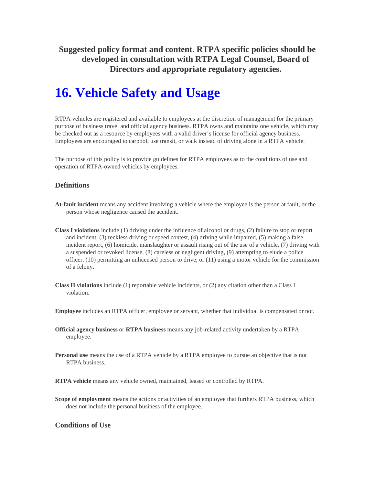**Suggested policy format and content. RTPA specific policies should be developed in consultation with RTPA Legal Counsel, Board of Directors and appropriate regulatory agencies.** 

# **16. Vehicle Safety and Usage**

RTPA vehicles are registered and available to employees at the discretion of management for the primary purpose of business travel and official agency business. RTPA owns and maintains one vehicle, which may be checked out as a resource by employees with a valid driver's license for official agency business. Employees are encouraged to carpool, use transit, or walk instead of driving alone in a RTPA vehicle.

The purpose of this policy is to provide guidelines for RTPA employees as to the conditions of use and operation of RTPA-owned vehicles by employees.

## **Definitions**

- **At-fault incident** means any accident involving a vehicle where the employee is the person at fault, or the person whose negligence caused the accident.
- **Class I violations** include (1) driving under the influence of alcohol or drugs, (2) failure to stop or report and incident, (3) reckless driving or speed contest, (4) driving while impaired, (5) making a false incident report, (6) homicide, manslaughter or assault rising out of the use of a vehicle, (7) driving with a suspended or revoked license, (8) careless or negligent driving, (9) attempting to elude a police officer, (10) permitting an unlicensed person to drive, or (11) using a motor vehicle for the commission of a felony.
- **Class II violations** include (1) reportable vehicle incidents, or (2) any citation other than a Class I violation.

**Employee** includes an RTPA officer, employee or servant, whether that individual is compensated or not.

- **Official agency business** or **RTPA business** means any job-related activity undertaken by a RTPA employee.
- **Personal use** means the use of a RTPA vehicle by a RTPA employee to pursue an objective that is not RTPA business.

**RTPA vehicle** means any vehicle owned, maintained, leased or controlled by RTPA.

**Scope of employment** means the actions or activities of an employee that furthers RTPA business, which does not include the personal business of the employee.

#### **Conditions of Use**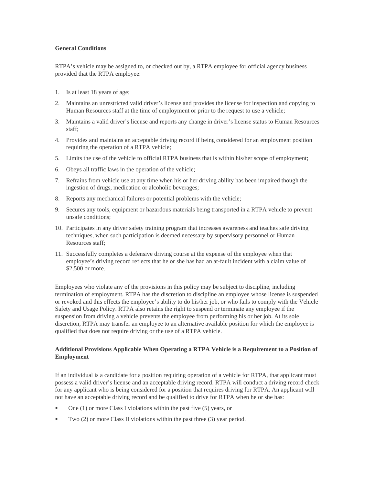#### **General Conditions**

RTPA's vehicle may be assigned to, or checked out by, a RTPA employee for official agency business provided that the RTPA employee:

- 1. Is at least 18 years of age;
- 2. Maintains an unrestricted valid driver's license and provides the license for inspection and copying to Human Resources staff at the time of employment or prior to the request to use a vehicle;
- 3. Maintains a valid driver's license and reports any change in driver's license status to Human Resources staff;
- 4. Provides and maintains an acceptable driving record if being considered for an employment position requiring the operation of a RTPA vehicle;
- 5. Limits the use of the vehicle to official RTPA business that is within his/her scope of employment;
- 6. Obeys all traffic laws in the operation of the vehicle;
- 7. Refrains from vehicle use at any time when his or her driving ability has been impaired though the ingestion of drugs, medication or alcoholic beverages;
- 8. Reports any mechanical failures or potential problems with the vehicle;
- 9. Secures any tools, equipment or hazardous materials being transported in a RTPA vehicle to prevent unsafe conditions;
- 10. Participates in any driver safety training program that increases awareness and teaches safe driving techniques, when such participation is deemed necessary by supervisory personnel or Human Resources staff;
- 11. Successfully completes a defensive driving course at the expense of the employee when that employee's driving record reflects that he or she has had an at-fault incident with a claim value of \$2,500 or more.

Employees who violate any of the provisions in this policy may be subject to discipline, including termination of employment. RTPA has the discretion to discipline an employee whose license is suspended or revoked and this effects the employee's ability to do his/her job, or who fails to comply with the Vehicle Safety and Usage Policy. RTPA also retains the right to suspend or terminate any employee if the suspension from driving a vehicle prevents the employee from performing his or her job. At its sole discretion, RTPA may transfer an employee to an alternative available position for which the employee is qualified that does not require driving or the use of a RTPA vehicle.

#### **Additional Provisions Applicable When Operating a RTPA Vehicle is a Requirement to a Position of Employment**

If an individual is a candidate for a position requiring operation of a vehicle for RTPA, that applicant must possess a valid driver's license and an acceptable driving record. RTPA will conduct a driving record check for any applicant who is being considered for a position that requires driving for RTPA. An applicant will not have an acceptable driving record and be qualified to drive for RTPA when he or she has:

- $\blacksquare$  One (1) or more Class I violations within the past five (5) years, or
- $\blacksquare$  Two (2) or more Class II violations within the past three (3) year period.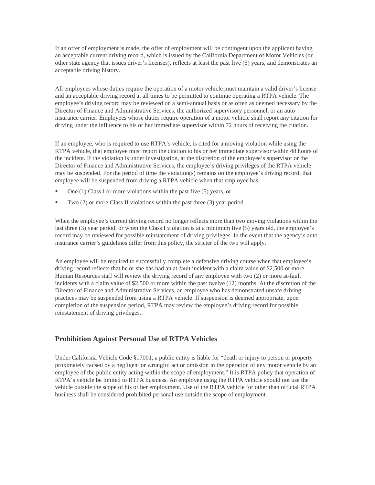If an offer of employment is made, the offer of employment will be contingent upon the applicant having an acceptable current driving record, which is issued by the California Department of Motor Vehicles (or other state agency that issues driver's licenses), reflects at least the past five (5) years, and demonstrates an acceptable driving history.

All employees whose duties require the operation of a motor vehicle must maintain a valid driver's license and an acceptable driving record at all times to be permitted to continue operating a RTPA vehicle. The employee's driving record may be reviewed on a semi-annual basis or as often as deemed necessary by the Director of Finance and Administrative Services, the authorized supervisory personnel, or an auto insurance carrier. Employees whose duties require operation of a motor vehicle shall report any citation for driving under the influence to his or her immediate supervisor within 72 hours of receiving the citation.

If an employee, who is required to use RTPA's vehicle, is cited for a moving violation while using the RTPA vehicle, that employee must report the citation to his or her immediate supervisor within 48 hours of the incident. If the violation is under investigation, at the discretion of the employee's supervisor or the Director of Finance and Administrative Services, the employee's driving privileges of the RTPA vehicle may be suspended. For the period of time the violation(s) remains on the employee's driving record, that employee will be suspended from driving a RTPA vehicle when that employee has:

- One (1) Class I or more violations within the past five (5) years, or
- Two (2) or more Class II violations within the past three (3) year period.

When the employee's current driving record no longer reflects more than two moving violations within the last three (3) year period, or when the Class I violation is at a minimum five (5) years old, the employee's record may be reviewed for possible reinstatement of driving privileges. In the event that the agency's auto insurance carrier's guidelines differ from this policy, the stricter of the two will apply.

An employee will be required to successfully complete a defensive driving course when that employee's driving record reflects that he or she has had an at-fault incident with a claim value of \$2,500 or more. Human Resources staff will review the driving record of any employee with two (2) or more at-fault incidents with a claim value of \$2,500 or more within the past twelve (12) months. At the discretion of the Director of Finance and Administrative Services, an employee who has demonstrated unsafe driving practices may be suspended from using a RTPA vehicle. If suspension is deemed appropriate, upon completion of the suspension period, RTPA may review the employee's driving record for possible reinstatement of driving privileges.

#### **Prohibition Against Personal Use of RTPA Vehicles**

Under California Vehicle Code §17001, a public entity is liable for "death or injury to person or property proximately caused by a negligent or wrongful act or omission in the operation of any motor vehicle by an employee of the public entity acting within the scope of employment." It is RTPA policy that operation of RTPA's vehicle be limited to RTPA business. An employee using the RTPA vehicle should not use the vehicle outside the scope of his or her employment. Use of the RTPA vehicle for other than official RTPA business shall be considered prohibited personal use outside the scope of employment.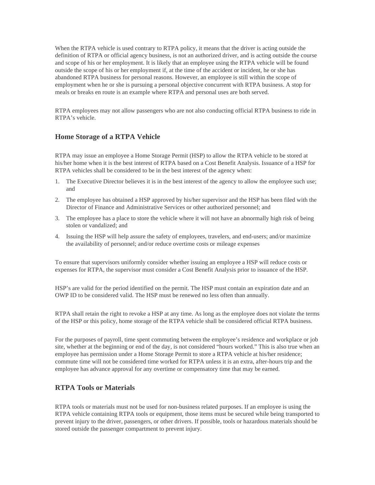When the RTPA vehicle is used contrary to RTPA policy, it means that the driver is acting outside the definition of RTPA or official agency business, is not an authorized driver, and is acting outside the course and scope of his or her employment. It is likely that an employee using the RTPA vehicle will be found outside the scope of his or her employment if, at the time of the accident or incident, he or she has abandoned RTPA business for personal reasons. However, an employee is still within the scope of employment when he or she is pursuing a personal objective concurrent with RTPA business. A stop for meals or breaks en route is an example where RTPA and personal uses are both served.

RTPA employees may not allow passengers who are not also conducting official RTPA business to ride in RTPA's vehicle.

### **Home Storage of a RTPA Vehicle**

RTPA may issue an employee a Home Storage Permit (HSP) to allow the RTPA vehicle to be stored at his/her home when it is the best interest of RTPA based on a Cost Benefit Analysis. Issuance of a HSP for RTPA vehicles shall be considered to be in the best interest of the agency when:

- 1. The Executive Director believes it is in the best interest of the agency to allow the employee such use; and
- 2. The employee has obtained a HSP approved by his/her supervisor and the HSP has been filed with the Director of Finance and Administrative Services or other authorized personnel; and
- 3. The employee has a place to store the vehicle where it will not have an abnormally high risk of being stolen or vandalized; and
- 4. Issuing the HSP will help assure the safety of employees, travelers, and end-users; and/or maximize the availability of personnel; and/or reduce overtime costs or mileage expenses

To ensure that supervisors uniformly consider whether issuing an employee a HSP will reduce costs or expenses for RTPA, the supervisor must consider a Cost Benefit Analysis prior to issuance of the HSP.

HSP's are valid for the period identified on the permit. The HSP must contain an expiration date and an OWP ID to be considered valid. The HSP must be renewed no less often than annually.

RTPA shall retain the right to revoke a HSP at any time. As long as the employee does not violate the terms of the HSP or this policy, home storage of the RTPA vehicle shall be considered official RTPA business.

For the purposes of payroll, time spent commuting between the employee's residence and workplace or job site, whether at the beginning or end of the day, is not considered "hours worked." This is also true when an employee has permission under a Home Storage Permit to store a RTPA vehicle at his/her residence; commute time will not be considered time worked for RTPA unless it is an extra, after-hours trip and the employee has advance approval for any overtime or compensatory time that may be earned.

#### **RTPA Tools or Materials**

RTPA tools or materials must not be used for non-business related purposes. If an employee is using the RTPA vehicle containing RTPA tools or equipment, those items must be secured while being transported to prevent injury to the driver, passengers, or other drivers. If possible, tools or hazardous materials should be stored outside the passenger compartment to prevent injury.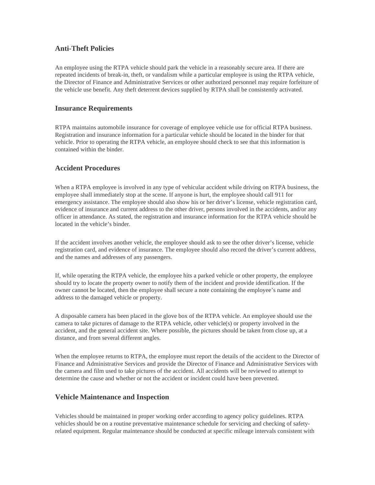### **Anti-Theft Policies**

An employee using the RTPA vehicle should park the vehicle in a reasonably secure area. If there are repeated incidents of break-in, theft, or vandalism while a particular employee is using the RTPA vehicle, the Director of Finance and Administrative Services or other authorized personnel may require forfeiture of the vehicle use benefit. Any theft deterrent devices supplied by RTPA shall be consistently activated.

### **Insurance Requirements**

RTPA maintains automobile insurance for coverage of employee vehicle use for official RTPA business. Registration and insurance information for a particular vehicle should be located in the binder for that vehicle. Prior to operating the RTPA vehicle, an employee should check to see that this information is contained within the binder.

# **Accident Procedures**

When a RTPA employee is involved in any type of vehicular accident while driving on RTPA business, the employee shall immediately stop at the scene. If anyone is hurt, the employee should call 911 for emergency assistance. The employee should also show his or her driver's license, vehicle registration card, evidence of insurance and current address to the other driver, persons involved in the accidents, and/or any officer in attendance. As stated, the registration and insurance information for the RTPA vehicle should be located in the vehicle's binder.

If the accident involves another vehicle, the employee should ask to see the other driver's license, vehicle registration card, and evidence of insurance. The employee should also record the driver's current address, and the names and addresses of any passengers.

If, while operating the RTPA vehicle, the employee hits a parked vehicle or other property, the employee should try to locate the property owner to notify them of the incident and provide identification. If the owner cannot be located, then the employee shall secure a note containing the employee's name and address to the damaged vehicle or property.

A disposable camera has been placed in the glove box of the RTPA vehicle. An employee should use the camera to take pictures of damage to the RTPA vehicle, other vehicle(s) or property involved in the accident, and the general accident site. Where possible, the pictures should be taken from close up, at a distance, and from several different angles.

When the employee returns to RTPA, the employee must report the details of the accident to the Director of Finance and Administrative Services and provide the Director of Finance and Administrative Services with the camera and film used to take pictures of the accident. All accidents will be reviewed to attempt to determine the cause and whether or not the accident or incident could have been prevented.

#### **Vehicle Maintenance and Inspection**

Vehicles should be maintained in proper working order according to agency policy guidelines. RTPA vehicles should be on a routine preventative maintenance schedule for servicing and checking of safetyrelated equipment. Regular maintenance should be conducted at specific mileage intervals consistent with